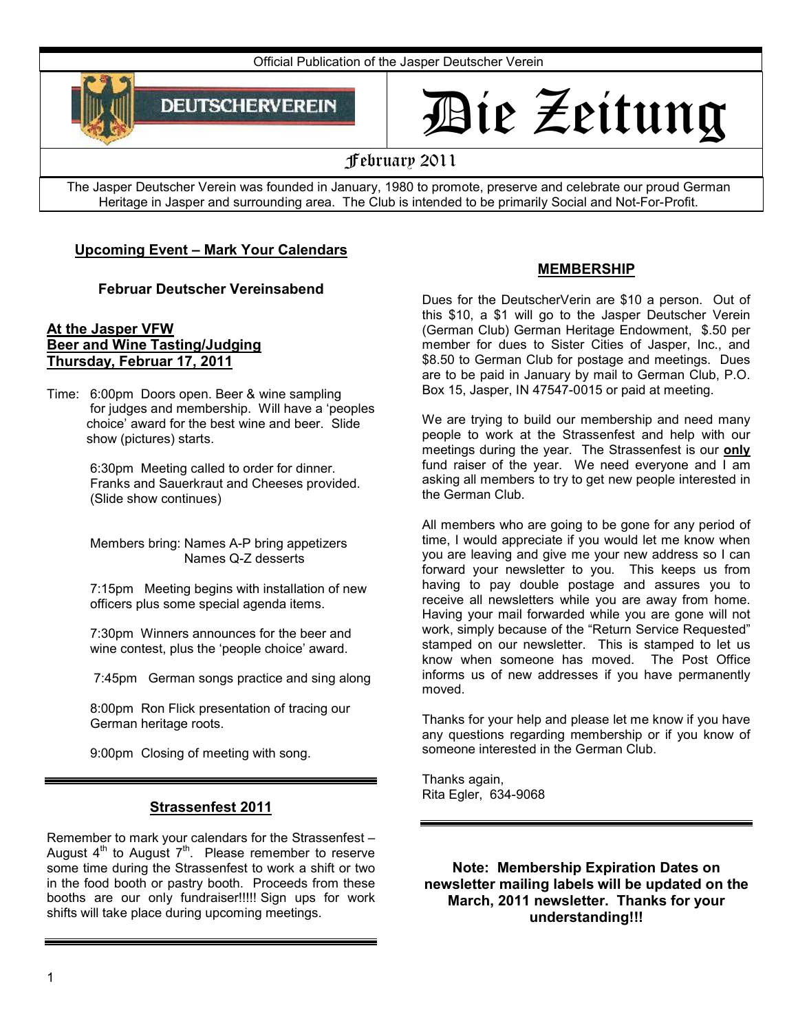

# Die Zeitung

# February 2011

The Jasper Deutscher Verein was founded in January, 1980 to promote, preserve and celebrate our proud German Heritage in Jasper and surrounding area. The Club is intended to be primarily Social and Not-For-Profit.

## **Upcoming Event – Mark Your Calendars**

## **Februar Deutscher Vereinsabend**

#### **At the Jasper VFW Beer and Wine Tasting/Judging Thursday, Februar 17, 2011**

Time: 6:00pm Doors open. Beer & wine sampling for judges and membership. Will have a 'peoples choice' award for the best wine and beer. Slide show (pictures) starts.

> 6:30pm Meeting called to order for dinner. Franks and Sauerkraut and Cheeses provided. (Slide show continues)

 Members bring: Names A-P bring appetizers Names Q-Z desserts

 7:15pm Meeting begins with installation of new officers plus some special agenda items.

 7:30pm Winners announces for the beer and wine contest, plus the 'people choice' award.

7:45pm German songs practice and sing along

 8:00pm Ron Flick presentation of tracing our German heritage roots.

9:00pm Closing of meeting with song.

## **Strassenfest 2011**

Remember to mark your calendars for the Strassenfest – August  $4<sup>th</sup>$  to August  $7<sup>th</sup>$ . Please remember to reserve some time during the Strassenfest to work a shift or two in the food booth or pastry booth. Proceeds from these booths are our only fundraiser!!!!! Sign ups for work shifts will take place during upcoming meetings.

## **MEMBERSHIP**

Dues for the DeutscherVerin are \$10 a person. Out of this \$10, a \$1 will go to the Jasper Deutscher Verein (German Club) German Heritage Endowment, \$.50 per member for dues to Sister Cities of Jasper, Inc., and \$8.50 to German Club for postage and meetings. Dues are to be paid in January by mail to German Club, P.O. Box 15, Jasper, IN 47547-0015 or paid at meeting.

We are trying to build our membership and need many people to work at the Strassenfest and help with our meetings during the year. The Strassenfest is our **only**  fund raiser of the year. We need everyone and I am asking all members to try to get new people interested in the German Club.

All members who are going to be gone for any period of time, I would appreciate if you would let me know when you are leaving and give me your new address so I can forward your newsletter to you. This keeps us from having to pay double postage and assures you to receive all newsletters while you are away from home. Having your mail forwarded while you are gone will not work, simply because of the "Return Service Requested" stamped on our newsletter. This is stamped to let us know when someone has moved. The Post Office informs us of new addresses if you have permanently moved.

Thanks for your help and please let me know if you have any questions regarding membership or if you know of someone interested in the German Club.

Thanks again, Rita Egler, 634-9068

**Note: Membership Expiration Dates on newsletter mailing labels will be updated on the March, 2011 newsletter. Thanks for your understanding!!!**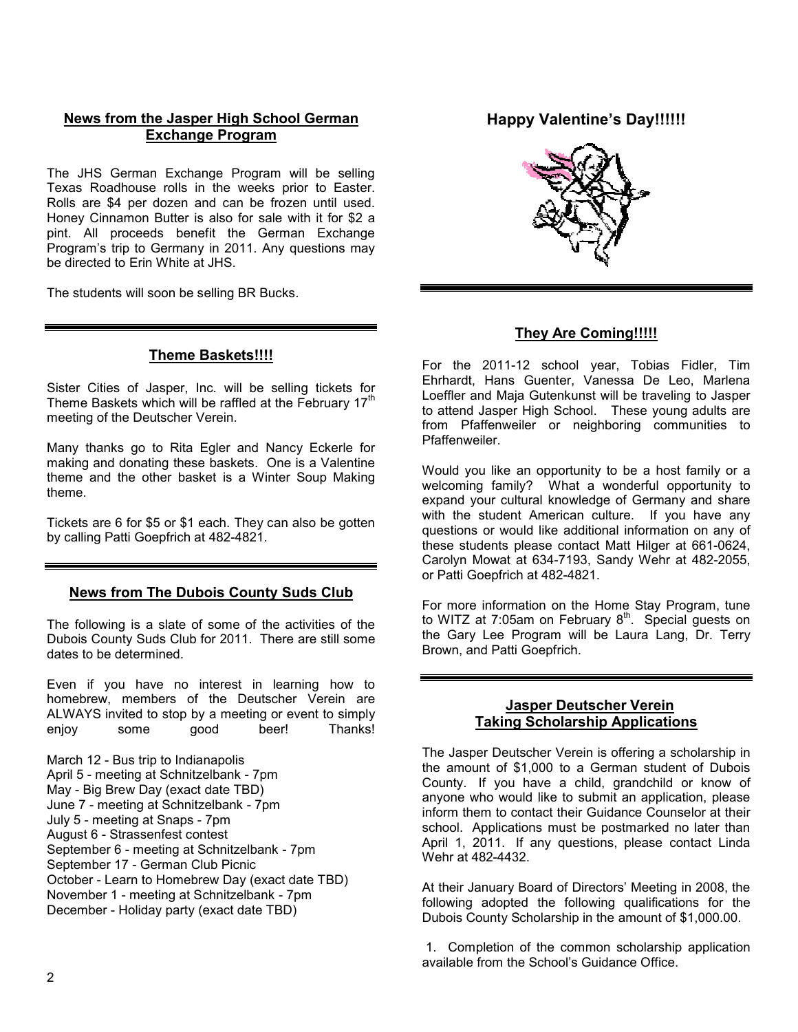## **News from the Jasper High School German Exchange Program**

The JHS German Exchange Program will be selling Texas Roadhouse rolls in the weeks prior to Easter. Rolls are \$4 per dozen and can be frozen until used. Honey Cinnamon Butter is also for sale with it for \$2 a pint. All proceeds benefit the German Exchange Program's trip to Germany in 2011. Any questions may be directed to Erin White at JHS.

The students will soon be selling BR Bucks.

#### **Theme Baskets!!!!**

Sister Cities of Jasper, Inc. will be selling tickets for Theme Baskets which will be raffled at the February 17<sup>th</sup> meeting of the Deutscher Verein.

Many thanks go to Rita Egler and Nancy Eckerle for making and donating these baskets. One is a Valentine theme and the other basket is a Winter Soup Making theme.

Tickets are 6 for \$5 or \$1 each. They can also be gotten by calling Patti Goepfrich at 482-4821.

#### **News from The Dubois County Suds Club**

The following is a slate of some of the activities of the Dubois County Suds Club for 2011. There are still some dates to be determined.

Even if you have no interest in learning how to homebrew, members of the Deutscher Verein are ALWAYS invited to stop by a meeting or event to simply enjoy some good beer! Thanks!

March 12 - Bus trip to Indianapolis April 5 - meeting at Schnitzelbank - 7pm May - Big Brew Day (exact date TBD) June 7 - meeting at Schnitzelbank - 7pm July 5 - meeting at Snaps - 7pm August 6 - Strassenfest contest September 6 - meeting at Schnitzelbank - 7pm September 17 - German Club Picnic October - Learn to Homebrew Day (exact date TBD) November 1 - meeting at Schnitzelbank - 7pm December - Holiday party (exact date TBD)

## **Happy Valentine's Day!!!!!!**



## **They Are Coming!!!!!**

For the 2011-12 school year, Tobias Fidler, Tim Ehrhardt, Hans Guenter, Vanessa De Leo, Marlena Loeffler and Maja Gutenkunst will be traveling to Jasper to attend Jasper High School. These young adults are from Pfaffenweiler or neighboring communities to Pfaffenweiler.

Would you like an opportunity to be a host family or a welcoming family? What a wonderful opportunity to expand your cultural knowledge of Germany and share with the student American culture. If you have any questions or would like additional information on any of these students please contact Matt Hilger at 661-0624, Carolyn Mowat at 634-7193, Sandy Wehr at 482-2055, or Patti Goepfrich at 482-4821.

For more information on the Home Stay Program, tune to WITZ at  $7:05$ am on February  $8<sup>th</sup>$ . Special guests on the Gary Lee Program will be Laura Lang, Dr. Terry Brown, and Patti Goepfrich.

#### **Jasper Deutscher Verein Taking Scholarship Applications**

The Jasper Deutscher Verein is offering a scholarship in the amount of \$1,000 to a German student of Dubois County. If you have a child, grandchild or know of anyone who would like to submit an application, please inform them to contact their Guidance Counselor at their school. Applications must be postmarked no later than April 1, 2011. If any questions, please contact Linda Wehr at 482-4432.

At their January Board of Directors' Meeting in 2008, the following adopted the following qualifications for the Dubois County Scholarship in the amount of \$1,000.00.

1. Completion of the common scholarship application available from the School's Guidance Office.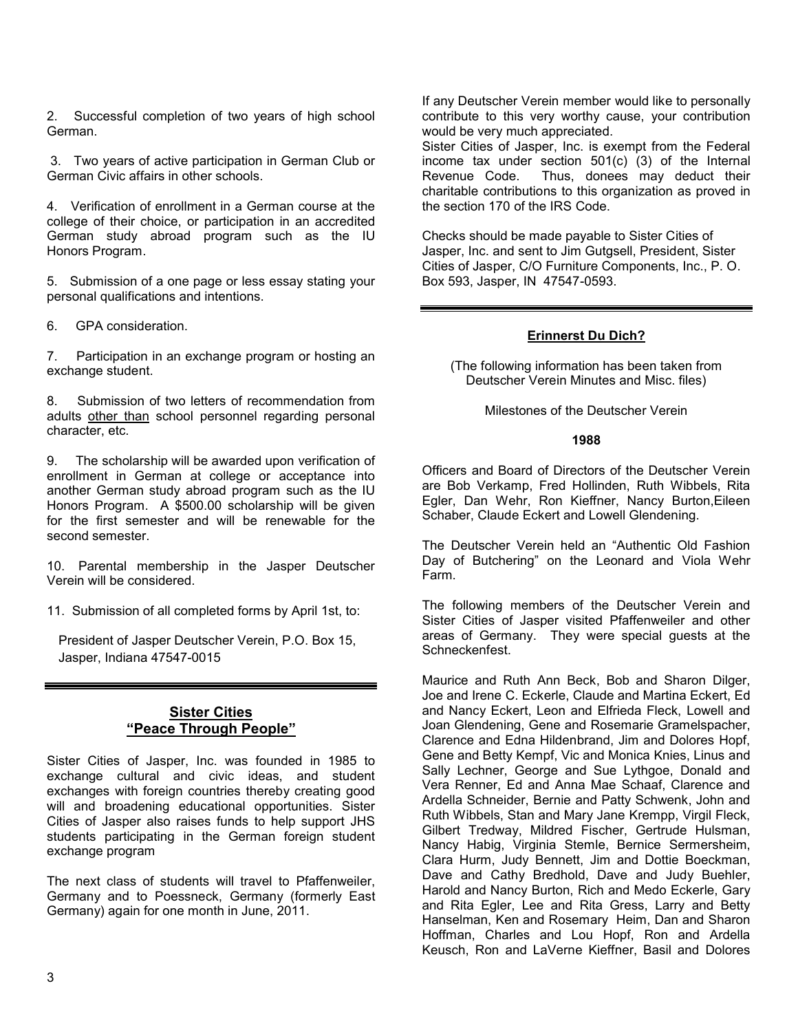2. Successful completion of two years of high school German.

 3. Two years of active participation in German Club or German Civic affairs in other schools.

4. Verification of enrollment in a German course at the college of their choice, or participation in an accredited German study abroad program such as the IU Honors Program.

5. Submission of a one page or less essay stating your personal qualifications and intentions.

6. GPA consideration.

7. Participation in an exchange program or hosting an exchange student.

8. Submission of two letters of recommendation from adults other than school personnel regarding personal character, etc.

9. The scholarship will be awarded upon verification of enrollment in German at college or acceptance into another German study abroad program such as the IU Honors Program. A \$500.00 scholarship will be given for the first semester and will be renewable for the second semester.

10. Parental membership in the Jasper Deutscher Verein will be considered.

11. Submission of all completed forms by April 1st, to:

President of Jasper Deutscher Verein, P.O. Box 15, Jasper, Indiana 47547-0015

#### **Sister Cities "Peace Through People"**

Sister Cities of Jasper, Inc. was founded in 1985 to exchange cultural and civic ideas, and student exchanges with foreign countries thereby creating good will and broadening educational opportunities. Sister Cities of Jasper also raises funds to help support JHS students participating in the German foreign student exchange program

The next class of students will travel to Pfaffenweiler, Germany and to Poessneck, Germany (formerly East Germany) again for one month in June, 2011.

If any Deutscher Verein member would like to personally contribute to this very worthy cause, your contribution would be very much appreciated.

Sister Cities of Jasper, Inc. is exempt from the Federal income tax under section 501(c) (3) of the Internal Revenue Code. Thus, donees may deduct their charitable contributions to this organization as proved in the section 170 of the IRS Code.

Checks should be made payable to Sister Cities of Jasper, Inc. and sent to Jim Gutgsell, President, Sister Cities of Jasper, C/O Furniture Components, Inc., P. O. Box 593, Jasper, IN 47547-0593.

#### **Erinnerst Du Dich?**

(The following information has been taken from Deutscher Verein Minutes and Misc. files)

Milestones of the Deutscher Verein

#### **1988**

Officers and Board of Directors of the Deutscher Verein are Bob Verkamp, Fred Hollinden, Ruth Wibbels, Rita Egler, Dan Wehr, Ron Kieffner, Nancy Burton,Eileen Schaber, Claude Eckert and Lowell Glendening.

The Deutscher Verein held an "Authentic Old Fashion Day of Butchering" on the Leonard and Viola Wehr Farm.

The following members of the Deutscher Verein and Sister Cities of Jasper visited Pfaffenweiler and other areas of Germany. They were special guests at the Schneckenfest.

Maurice and Ruth Ann Beck, Bob and Sharon Dilger, Joe and Irene C. Eckerle, Claude and Martina Eckert, Ed and Nancy Eckert, Leon and Elfrieda Fleck, Lowell and Joan Glendening, Gene and Rosemarie Gramelspacher, Clarence and Edna Hildenbrand, Jim and Dolores Hopf, Gene and Betty Kempf, Vic and Monica Knies, Linus and Sally Lechner. George and Sue Lythgoe, Donald and Vera Renner, Ed and Anna Mae Schaaf, Clarence and Ardella Schneider, Bernie and Patty Schwenk, John and Ruth Wibbels, Stan and Mary Jane Krempp, Virgil Fleck, Gilbert Tredway, Mildred Fischer, Gertrude Hulsman, Nancy Habig, Virginia Stemle, Bernice Sermersheim, Clara Hurm, Judy Bennett, Jim and Dottie Boeckman, Dave and Cathy Bredhold, Dave and Judy Buehler, Harold and Nancy Burton, Rich and Medo Eckerle, Gary and Rita Egler, Lee and Rita Gress, Larry and Betty Hanselman, Ken and Rosemary Heim, Dan and Sharon Hoffman, Charles and Lou Hopf, Ron and Ardella Keusch, Ron and LaVerne Kieffner, Basil and Dolores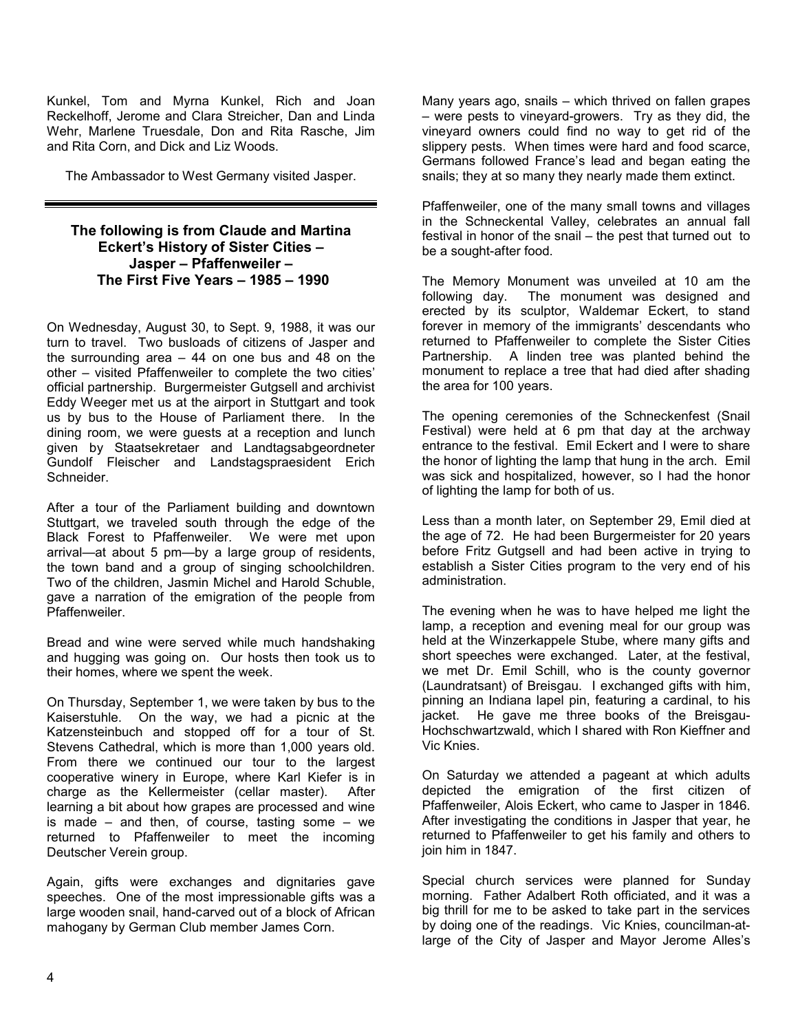Kunkel, Tom and Myrna Kunkel, Rich and Joan Reckelhoff, Jerome and Clara Streicher, Dan and Linda Wehr, Marlene Truesdale, Don and Rita Rasche, Jim and Rita Corn, and Dick and Liz Woods.

The Ambassador to West Germany visited Jasper.

#### **The following is from Claude and Martina Eckert's History of Sister Cities – Jasper – Pfaffenweiler – The First Five Years – 1985 – 1990**

On Wednesday, August 30, to Sept. 9, 1988, it was our turn to travel. Two busloads of citizens of Jasper and the surrounding area – 44 on one bus and 48 on the other – visited Pfaffenweiler to complete the two cities' official partnership. Burgermeister Gutgsell and archivist Eddy Weeger met us at the airport in Stuttgart and took us by bus to the House of Parliament there. In the dining room, we were guests at a reception and lunch given by Staatsekretaer and Landtagsabgeordneter Gundolf Fleischer and Landstagspraesident Erich **Schneider** 

After a tour of the Parliament building and downtown Stuttgart, we traveled south through the edge of the Black Forest to Pfaffenweiler. We were met upon arrival—at about 5 pm—by a large group of residents, the town band and a group of singing schoolchildren. Two of the children, Jasmin Michel and Harold Schuble, gave a narration of the emigration of the people from Pfaffenweiler.

Bread and wine were served while much handshaking and hugging was going on. Our hosts then took us to their homes, where we spent the week.

On Thursday, September 1, we were taken by bus to the Kaiserstuhle. On the way, we had a picnic at the Katzensteinbuch and stopped off for a tour of St. Stevens Cathedral, which is more than 1,000 years old. From there we continued our tour to the largest cooperative winery in Europe, where Karl Kiefer is in charge as the Kellermeister (cellar master). After learning a bit about how grapes are processed and wine is made – and then, of course, tasting some – we returned to Pfaffenweiler to meet the incoming Deutscher Verein group.

Again, gifts were exchanges and dignitaries gave speeches. One of the most impressionable gifts was a large wooden snail, hand-carved out of a block of African mahogany by German Club member James Corn.

Many years ago, snails – which thrived on fallen grapes – were pests to vineyard-growers. Try as they did, the vineyard owners could find no way to get rid of the slippery pests. When times were hard and food scarce, Germans followed France's lead and began eating the snails; they at so many they nearly made them extinct.

Pfaffenweiler, one of the many small towns and villages in the Schneckental Valley, celebrates an annual fall festival in honor of the snail – the pest that turned out to be a sought-after food.

The Memory Monument was unveiled at 10 am the following day. The monument was designed and erected by its sculptor, Waldemar Eckert, to stand forever in memory of the immigrants' descendants who returned to Pfaffenweiler to complete the Sister Cities Partnership. A linden tree was planted behind the monument to replace a tree that had died after shading the area for 100 years.

The opening ceremonies of the Schneckenfest (Snail Festival) were held at 6 pm that day at the archway entrance to the festival. Emil Eckert and I were to share the honor of lighting the lamp that hung in the arch. Emil was sick and hospitalized, however, so I had the honor of lighting the lamp for both of us.

Less than a month later, on September 29, Emil died at the age of 72. He had been Burgermeister for 20 years before Fritz Gutgsell and had been active in trying to establish a Sister Cities program to the very end of his administration.

The evening when he was to have helped me light the lamp, a reception and evening meal for our group was held at the Winzerkappele Stube, where many gifts and short speeches were exchanged. Later, at the festival, we met Dr. Emil Schill, who is the county governor (Laundratsant) of Breisgau. I exchanged gifts with him, pinning an Indiana lapel pin, featuring a cardinal, to his jacket. He gave me three books of the Breisgau-Hochschwartzwald, which I shared with Ron Kieffner and Vic Knies.

On Saturday we attended a pageant at which adults depicted the emigration of the first citizen of Pfaffenweiler, Alois Eckert, who came to Jasper in 1846. After investigating the conditions in Jasper that year, he returned to Pfaffenweiler to get his family and others to join him in 1847.

Special church services were planned for Sunday morning. Father Adalbert Roth officiated, and it was a big thrill for me to be asked to take part in the services by doing one of the readings. Vic Knies, councilman-atlarge of the City of Jasper and Mayor Jerome Alles's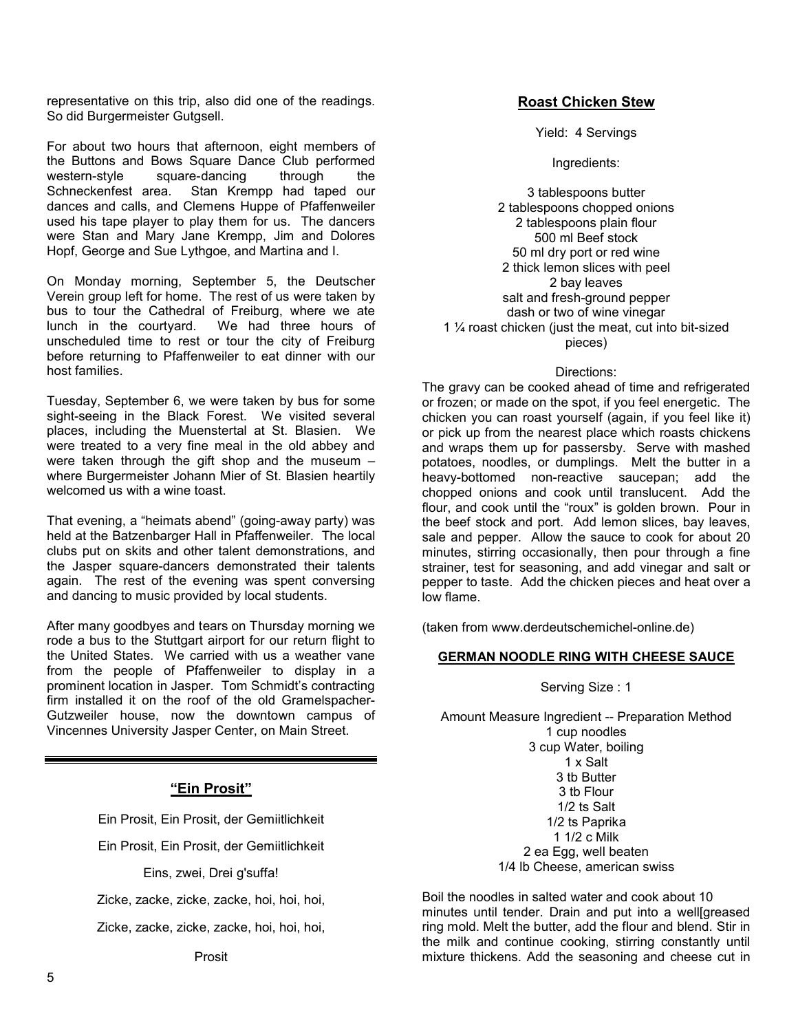representative on this trip, also did one of the readings. So did Burgermeister Gutgsell.

For about two hours that afternoon, eight members of the Buttons and Bows Square Dance Club performed western-style square-dancing through the Schneckenfest area. Stan Krempp had taped our dances and calls, and Clemens Huppe of Pfaffenweiler used his tape player to play them for us. The dancers were Stan and Mary Jane Krempp, Jim and Dolores Hopf, George and Sue Lythgoe, and Martina and I.

On Monday morning, September 5, the Deutscher Verein group left for home. The rest of us were taken by bus to tour the Cathedral of Freiburg, where we ate lunch in the courtyard. We had three hours of unscheduled time to rest or tour the city of Freiburg before returning to Pfaffenweiler to eat dinner with our host families.

Tuesday, September 6, we were taken by bus for some sight-seeing in the Black Forest. We visited several places, including the Muenstertal at St. Blasien. We were treated to a very fine meal in the old abbey and were taken through the gift shop and the museum – where Burgermeister Johann Mier of St. Blasien heartily welcomed us with a wine toast.

That evening, a "heimats abend" (going-away party) was held at the Batzenbarger Hall in Pfaffenweiler. The local clubs put on skits and other talent demonstrations, and the Jasper square-dancers demonstrated their talents again. The rest of the evening was spent conversing and dancing to music provided by local students.

After many goodbyes and tears on Thursday morning we rode a bus to the Stuttgart airport for our return flight to the United States. We carried with us a weather vane from the people of Pfaffenweiler to display in a prominent location in Jasper. Tom Schmidt's contracting firm installed it on the roof of the old Gramelspacher-Gutzweiler house, now the downtown campus of Vincennes University Jasper Center, on Main Street.

## **"Ein Prosit"**

Ein Prosit, Ein Prosit, der Gemiitlichkeit

Ein Prosit, Ein Prosit, der Gemiitlichkeit

Eins, zwei, Drei g'suffa!

Zicke, zacke, zicke, zacke, hoi, hoi, hoi,

Zicke, zacke, zicke, zacke, hoi, hoi, hoi,

#### **Roast Chicken Stew**

Yield: 4 Servings

Ingredients:

3 tablespoons butter 2 tablespoons chopped onions 2 tablespoons plain flour 500 ml Beef stock 50 ml dry port or red wine 2 thick lemon slices with peel 2 bay leaves salt and fresh-ground pepper dash or two of wine vinegar 1 ¼ roast chicken (just the meat, cut into bit-sized pieces)

#### Directions:

The gravy can be cooked ahead of time and refrigerated or frozen; or made on the spot, if you feel energetic. The chicken you can roast yourself (again, if you feel like it) or pick up from the nearest place which roasts chickens and wraps them up for passersby. Serve with mashed potatoes, noodles, or dumplings. Melt the butter in a heavy-bottomed non-reactive saucepan; add the chopped onions and cook until translucent. Add the flour, and cook until the "roux" is golden brown. Pour in the beef stock and port. Add lemon slices, bay leaves, sale and pepper. Allow the sauce to cook for about 20 minutes, stirring occasionally, then pour through a fine strainer, test for seasoning, and add vinegar and salt or pepper to taste. Add the chicken pieces and heat over a low flame.

(taken from www.derdeutschemichel-online.de)

#### **GERMAN NOODLE RING WITH CHEESE SAUCE**

Serving Size : 1

Amount Measure Ingredient -- Preparation Method 1 cup noodles 3 cup Water, boiling 1 x Salt 3 tb Butter 3 tb Flour 1/2 ts Salt 1/2 ts Paprika 1 1/2 c Milk 2 ea Egg, well beaten

1/4 lb Cheese, american swiss

Boil the noodles in salted water and cook about 10 minutes until tender. Drain and put into a welle areased ring mold. Melt the butter, add the flour and blend. Stir in the milk and continue cooking, stirring constantly until mixture thickens. Add the seasoning and cheese cut in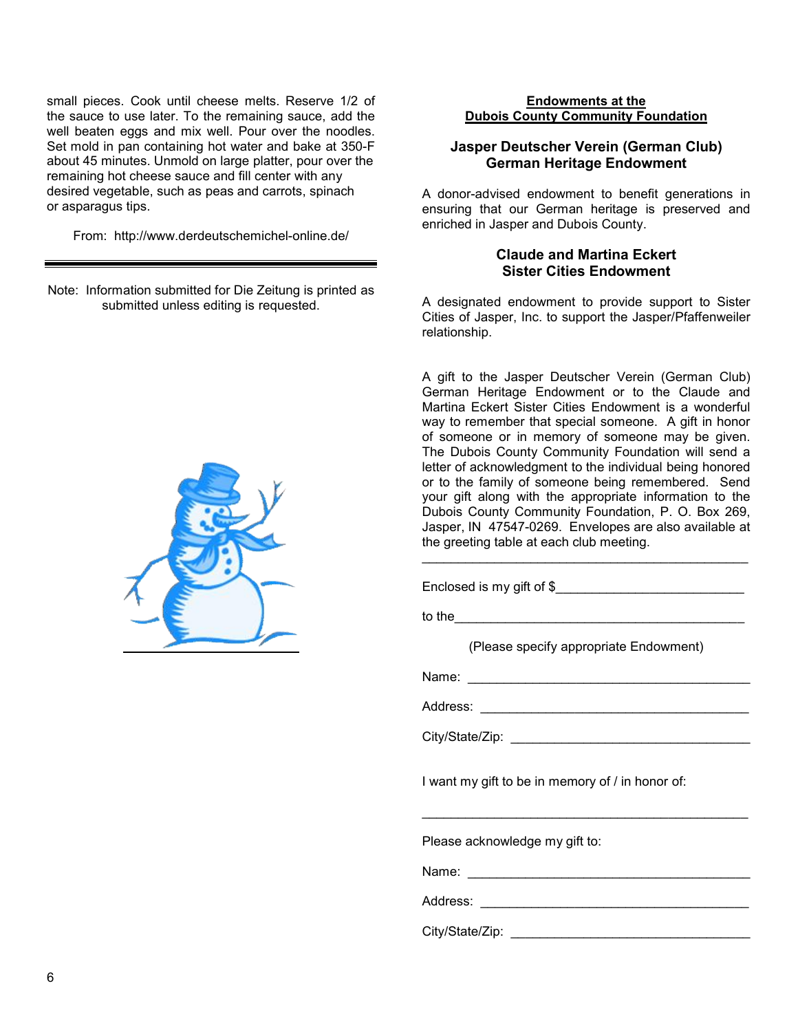small pieces. Cook until cheese melts. Reserve 1/2 of the sauce to use later. To the remaining sauce, add the well beaten eggs and mix well. Pour over the noodles. Set mold in pan containing hot water and bake at 350-F about 45 minutes. Unmold on large platter, pour over the remaining hot cheese sauce and fill center with any desired vegetable, such as peas and carrots, spinach or asparagus tips.

From: http://www.derdeutschemichel-online.de/

Note: Information submitted for Die Zeitung is printed as submitted unless editing is requested.



#### **Endowments at the Dubois County Community Foundation**

#### **Jasper Deutscher Verein (German Club) German Heritage Endowment**

A donor-advised endowment to benefit generations in ensuring that our German heritage is preserved and enriched in Jasper and Dubois County.

#### **Claude and Martina Eckert Sister Cities Endowment**

A designated endowment to provide support to Sister Cities of Jasper, Inc. to support the Jasper/Pfaffenweiler relationship.

A gift to the Jasper Deutscher Verein (German Club) German Heritage Endowment or to the Claude and Martina Eckert Sister Cities Endowment is a wonderful way to remember that special someone. A gift in honor of someone or in memory of someone may be given. The Dubois County Community Foundation will send a letter of acknowledgment to the individual being honored or to the family of someone being remembered. Send your gift along with the appropriate information to the Dubois County Community Foundation, P. O. Box 269, Jasper, IN 47547-0269. Envelopes are also available at the greeting table at each club meeting.

Enclosed is my gift of \$

to the  $\blacksquare$ 

(Please specify appropriate Endowment)

 $\mathcal{L}_\text{max}$  , and the contract of the contract of the contract of the contract of the contract of the contract of the contract of the contract of the contract of the contract of the contract of the contract of the contr

Name: \_\_\_\_\_\_\_\_\_\_\_\_\_\_\_\_\_\_\_\_\_\_\_\_\_\_\_\_\_\_\_\_\_\_\_\_\_\_\_

Address: \_\_\_\_\_\_\_\_\_\_\_\_\_\_\_\_\_\_\_\_\_\_\_\_\_\_\_\_\_\_\_\_\_\_\_\_\_

City/State/Zip: **with the set of the set of the set of the set of the set of the set of the set of the set of the set of the set of the set of the set of the set of the set of the set of the set of the set of the set of th** 

I want my gift to be in memory of / in honor of:

\_\_\_\_\_\_\_\_\_\_\_\_\_\_\_\_\_\_\_\_\_\_\_\_\_\_\_\_\_\_\_\_\_\_\_\_\_\_\_\_\_\_\_\_\_

Please acknowledge my gift to:

Name: \_\_\_\_\_\_\_\_\_\_\_\_\_\_\_\_\_\_\_\_\_\_\_\_\_\_\_\_\_\_\_\_\_\_\_\_\_\_\_

Address: \_\_\_\_\_\_\_\_\_\_\_\_\_\_\_\_\_\_\_\_\_\_\_\_\_\_\_\_\_\_\_\_\_\_\_\_\_

City/State/Zip: \_\_\_\_\_\_\_\_\_\_\_\_\_\_\_\_\_\_\_\_\_\_\_\_\_\_\_\_\_\_\_\_\_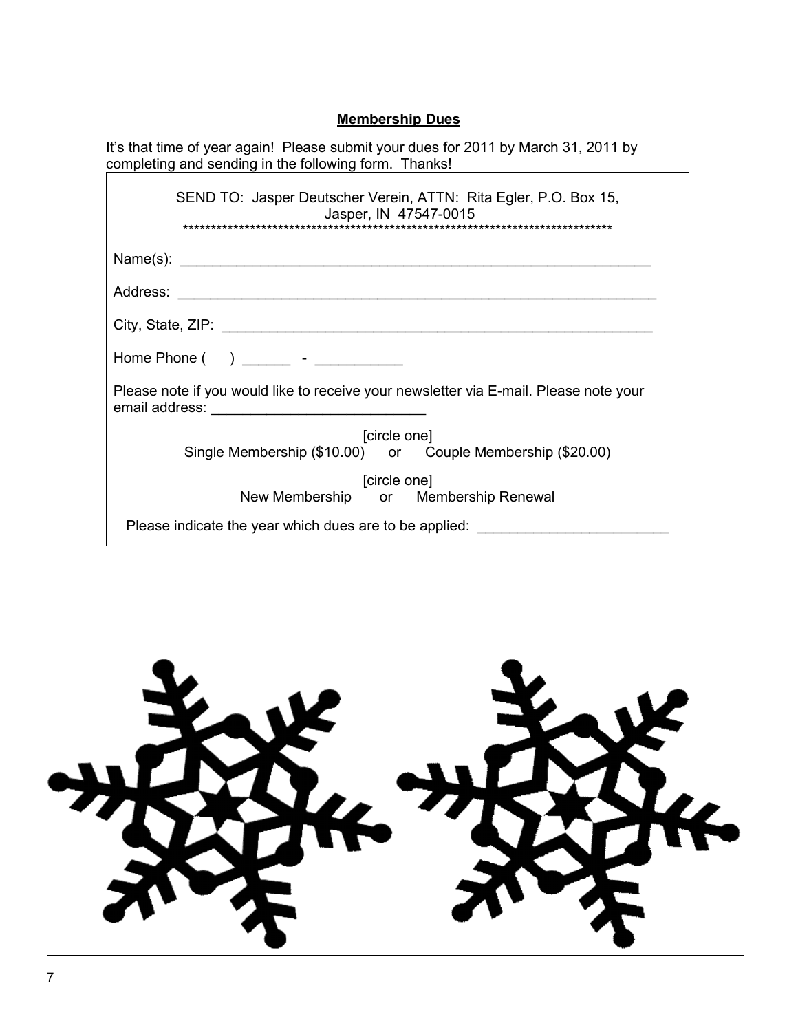## **Membership Dues**

| It's that time of year again! Please submit your dues for 2011 by March 31, 2011 by<br>completing and sending in the following form. Thanks! |
|----------------------------------------------------------------------------------------------------------------------------------------------|
| SEND TO: Jasper Deutscher Verein, ATTN: Rita Egler, P.O. Box 15,<br>Jasper, IN 47547-0015                                                    |
|                                                                                                                                              |
|                                                                                                                                              |
|                                                                                                                                              |
| Home Phone $($ $)$ _______ - __________                                                                                                      |
| Please note if you would like to receive your newsletter via E-mail. Please note your                                                        |
| [circle one]                                                                                                                                 |
| Single Membership (\$10.00) or Couple Membership (\$20.00)                                                                                   |
| [circle one]                                                                                                                                 |
| New Membership or Membership Renewal                                                                                                         |
| Please indicate the year which dues are to be applied:                                                                                       |